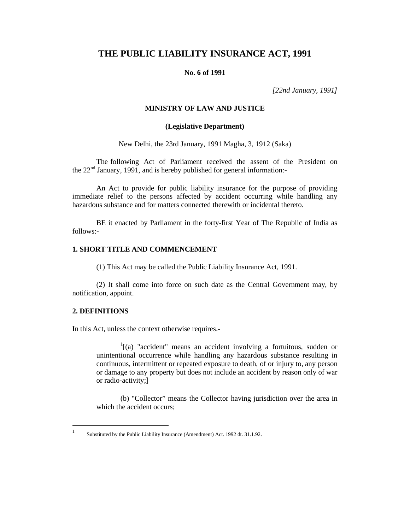# **THE PUBLIC LIABILITY INSURANCE ACT, 1991**

#### **No. 6 of 1991**

*[22nd January, 1991]* 

# **MINISTRY OF LAW AND JUSTICE**

# **(Legislative Department)**

New Delhi, the 23rd January, 1991 Magha, 3, 1912 (Saka)

The following Act of Parliament received the assent of the President on the  $22<sup>nd</sup>$  January, 1991, and is hereby published for general information:-

An Act to provide for public liability insurance for the purpose of providing immediate relief to the persons affected by accident occurring while handling any hazardous substance and for matters connected therewith or incidental thereto.

BE it enacted by Parliament in the forty-first Year of The Republic of India as follows:-

# **1. SHORT TITLE AND COMMENCEMENT**

(1) This Act may be called the Public Liability Insurance Act, 1991.

(2) It shall come into force on such date as the Central Government may, by notification, appoint.

# **2. DEFINITIONS**

 $\mathbf{1}$ 

In this Act, unless the context otherwise requires.-

<sup>1</sup>[(a) "accident" means an accident involving a fortuitous, sudden or unintentional occurrence while handling any hazardous substance resulting in continuous, intermittent or repeated exposure to death, of or injury to, any person or damage to any property but does not include an accident by reason only of war or radio-activity;]

(b) "Collector" means the Collector having jurisdiction over the area in which the accident occurs;

Substituted by the Public Liability Insurance (Amendment) Act. 1992 dt. 31.1.92.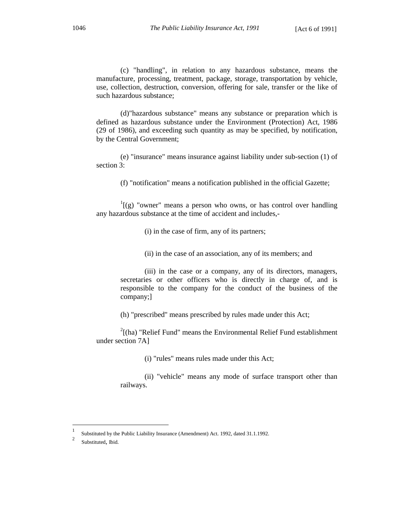(c) "handling", in relation to any hazardous substance, means the manufacture, processing, treatment, package, storage, transportation by vehicle, use, collection, destruction, conversion, offering for sale, transfer or the like of such hazardous substance;

(d)"hazardous substance" means any substance or preparation which is defined as hazardous substance under the Environment (Protection) Act, 1986 (29 of 1986), and exceeding such quantity as may be specified, by notification, by the Central Government;

(e) "insurance" means insurance against liability under sub-section (1) of section 3:

(f) "notification" means a notification published in the official Gazette;

 $\log$  "owner" means a person who owns, or has control over handling any hazardous substance at the time of accident and includes,-

(i) in the case of firm, any of its partners;

(ii) in the case of an association, any of its members; and

(iii) in the case or a company, any of its directors, managers, secretaries or other officers who is directly in charge of, and is responsible to the company for the conduct of the business of the company;]

(h) "prescribed" means prescribed by rules made under this Act;

 $2^{2}$ [(ha) "Relief Fund" means the Environmental Relief Fund establishment under section 7A]

(i) "rules" means rules made under this Act;

(ii) "vehicle" means any mode of surface transport other than railways.

<sup>1</sup> Substituted by the Public Liability Insurance (Amendment) Act. 1992, dated 31.1.1992.

Substituted, Ibid.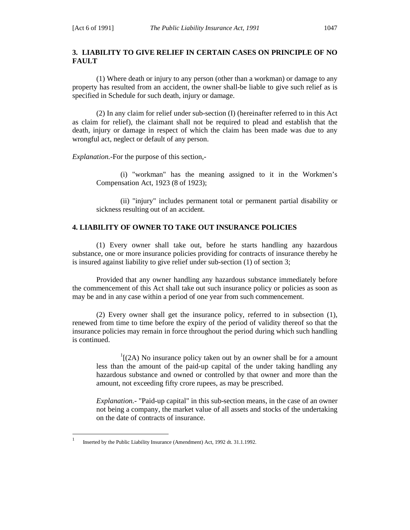# **3. LIABILITY TO GIVE RELIEF IN CERTAIN CASES ON PRINCIPLE OF NO FAULT**

(1) Where death or injury to any person (other than a workman) or damage to any property has resulted from an accident, the owner shall-be liable to give such relief as is specified in Schedule for such death, injury or damage.

(2) In any claim for relief under sub-section (I) (hereinafter referred to in this Act as claim for relief), the claimant shall not be required to plead and establish that the death, injury or damage in respect of which the claim has been made was due to any wrongful act, neglect or default of any person.

*Explanation.-*For the purpose of this section,-

(i) "workman" has the meaning assigned to it in the Workmen's Compensation Act, 1923 (8 of 1923);

(ii) "injury" includes permanent total or permanent partial disability or sickness resulting out of an accident.

# **4. LIABILITY OF OWNER TO TAKE OUT INSURANCE POLICIES**

(1) Every owner shall take out, before he starts handling any hazardous substance, one or more insurance policies providing for contracts of insurance thereby he is insured against liability to give relief under sub-section (1) of section 3;

Provided that any owner handling any hazardous substance immediately before the commencement of this Act shall take out such insurance policy or policies as soon as may be and in any case within a period of one year from such commencement.

(2) Every owner shall get the insurance policy, referred to in subsection (1), renewed from time to time before the expiry of the period of validity thereof so that the insurance policies may remain in force throughout the period during which such handling is continued.

 $<sup>1</sup>$ [(2A) No insurance policy taken out by an owner shall be for a amount</sup> less than the amount of the paid-up capital of the under taking handling any hazardous substance and owned or controlled by that owner and more than the amount, not exceeding fifty crore rupees, as may be prescribed.

*Explanation.-* "Paid-up capital" in this sub-section means, in the case of an owner not being a company, the market value of all assets and stocks of the undertaking on the date of contracts of insurance.

<sup>1</sup> Inserted by the Public Liability Insurance (Amendment) Act, 1992 dt. 31.1.1992.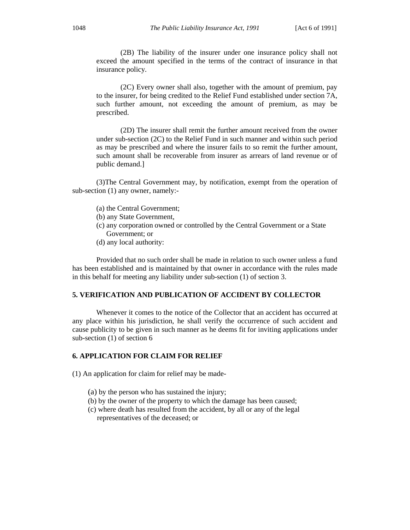(2B) The liability of the insurer under one insurance policy shall not exceed the amount specified in the terms of the contract of insurance in that insurance policy.

(2C) Every owner shall also, together with the amount of premium, pay to the insurer, for being credited to the Relief Fund established under section 7A, such further amount, not exceeding the amount of premium, as may be prescribed.

(2D) The insurer shall remit the further amount received from the owner under sub-section (2C) to the Relief Fund in such manner and within such period as may be prescribed and where the insurer fails to so remit the further amount, such amount shall be recoverable from insurer as arrears of land revenue or of public demand.]

(3)The Central Government may, by notification, exempt from the operation of sub-section (1) any owner, namely:-

- (a) the Central Government;
- (b) any State Government,
- (c) any corporation owned or controlled by the Central Government or a State Government; or
- (d) any local authority:

Provided that no such order shall be made in relation to such owner unless a fund has been established and is maintained by that owner in accordance with the rules made in this behalf for meeting any liability under sub-section (1) of section 3.

# **5. VERIFICATION AND PUBLICATION OF ACCIDENT BY COLLECTOR**

Whenever it comes to the notice of the Collector that an accident has occurred at any place within his jurisdiction, he shall verify the occurrence of such accident and cause publicity to be given in such manner as he deems fit for inviting applications under sub-section (1) of section 6

#### **6. APPLICATION FOR CLAIM FOR RELIEF**

(1) An application for claim for relief may be made-

- (a) by the person who has sustained the injury;
- (b) by the owner of the property to which the damage has been caused;
- (c) where death has resulted from the accident, by all or any of the legal representatives of the deceased; or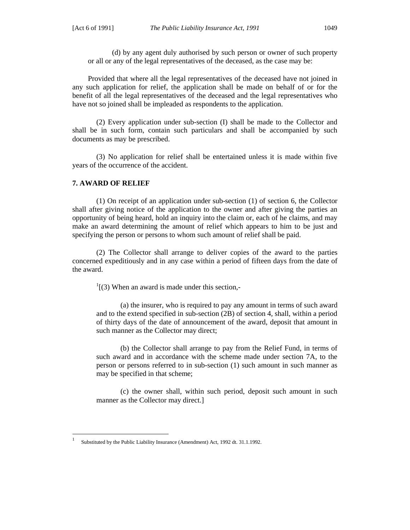(d) by any agent duly authorised by such person or owner of such property or all or any of the legal representatives of the deceased, as the case may be:

Provided that where all the legal representatives of the deceased have not joined in any such application for relief, the application shall be made on behalf of or for the benefit of all the legal representatives of the deceased and the legal representatives who have not so joined shall be impleaded as respondents to the application.

(2) Every application under sub-section (I) shall be made to the Collector and shall be in such form, contain such particulars and shall be accompanied by such documents as may be prescribed.

(3) No application for relief shall be entertained unless it is made within five years of the occurrence of the accident.

#### **7. AWARD OF RELIEF**

 $\overline{a}$ 

(1) On receipt of an application under sub-section (1) of section 6, the Collector shall after giving notice of the application to the owner and after giving the parties an opportunity of being heard, hold an inquiry into the claim or, each of he claims, and may make an award determining the amount of relief which appears to him to be just and specifying the person or persons to whom such amount of relief shall be paid.

(2) The Collector shall arrange to deliver copies of the award to the parties concerned expeditiously and in any case within a period of fifteen days from the date of the award.

 $\frac{1}{1}$ (3) When an award is made under this section,-

(a) the insurer, who is required to pay any amount in terms of such award and to the extend specified in sub-section (2B) of section 4, shall, within a period of thirty days of the date of announcement of the award, deposit that amount in such manner as the Collector may direct;

(b) the Collector shall arrange to pay from the Relief Fund, in terms of such award and in accordance with the scheme made under section 7A, to the person or persons referred to in sub-section (1) such amount in such manner as may be specified in that scheme;

(c) the owner shall, within such period, deposit such amount in such manner as the Collector may direct.]

<sup>1</sup> Substituted by the Public Liability Insurance (Amendment) Act, 1992 dt. 31.1.1992.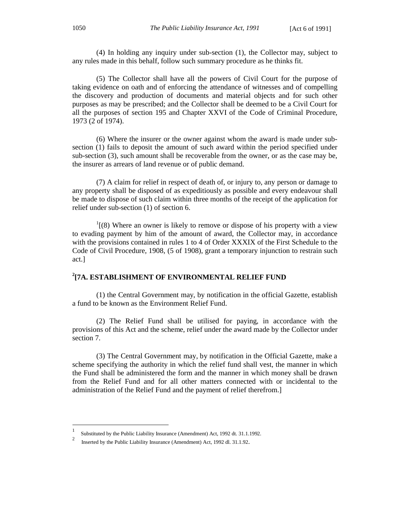(4) In holding any inquiry under sub-section (1), the Collector may, subject to any rules made in this behalf, follow such summary procedure as he thinks fit.

(5) The Collector shall have all the powers of Civil Court for the purpose of taking evidence on oath and of enforcing the attendance of witnesses and of compelling the discovery and production of documents and material objects and for such other purposes as may be prescribed; and the Collector shall be deemed to be a Civil Court for all the purposes of section 195 and Chapter XXVI of the Code of Criminal Procedure, 1973 (2 of 1974).

(6) Where the insurer or the owner against whom the award is made under subsection (1) fails to deposit the amount of such award within the period specified under sub-section (3), such amount shall be recoverable from the owner, or as the case may be, the insurer as arrears of land revenue or of public demand.

(7) A claim for relief in respect of death of, or injury to, any person or damage to any property shall be disposed of as expeditiously as possible and every endeavour shall be made to dispose of such claim within three months of the receipt of the application for relief under sub-section (1) of section 6.

 $1(8)$  Where an owner is likely to remove or dispose of his property with a view to evading payment by him of the amount of award, the Collector may, in accordance with the provisions contained in rules 1 to 4 of Order XXXIX of the First Schedule to the Code of Civil Procedure, 1908, (5 of 1908), grant a temporary injunction to restrain such act.]

# **2 [7A. ESTABLISHMENT OF ENVIRONMENTAL RELIEF FUND**

(1) the Central Government may, by notification in the official Gazette, establish a fund to be known as the Environment Relief Fund.

(2) The Relief Fund shall be utilised for paying, in accordance with the provisions of this Act and the scheme, relief under the award made by the Collector under section 7.

(3) The Central Government may, by notification in the Official Gazette, make a scheme specifying the authority in which the relief fund shall vest, the manner in which the Fund shall be administered the form and the manner in which money shall be drawn from the Relief Fund and for all other matters connected with or incidental to the administration of the Relief Fund and the payment of relief therefrom.]

<sup>1</sup> Substituted by the Public Liability Insurance (Amendment) Act, 1992 dt. 31.1.1992.

<sup>2</sup> Inserted by the Public Liability Insurance (Amendment) Act, 1992 dl. 31.1.92.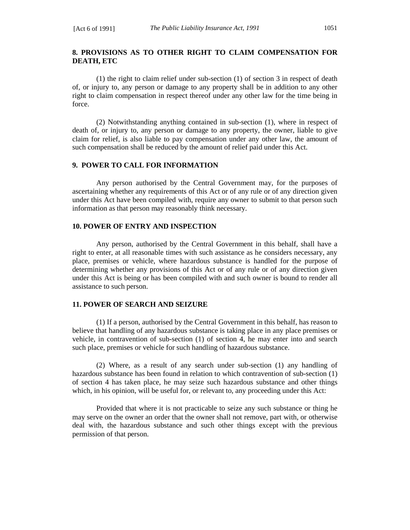# **8. PROVISIONS AS TO OTHER RIGHT TO CLAIM COMPENSATION FOR DEATH, ETC**

(1) the right to claim relief under sub-section (1) of section 3 in respect of death of, or injury to, any person or damage to any property shall be in addition to any other right to claim compensation in respect thereof under any other law for the time being in force.

(2) Notwithstanding anything contained in sub-section (1), where in respect of death of, or injury to, any person or damage to any property, the owner, liable to give claim for relief, is also liable to pay compensation under any other law, the amount of such compensation shall be reduced by the amount of relief paid under this Act.

# **9. POWER TO CALL FOR INFORMATION**

Any person authorised by the Central Government may, for the purposes of ascertaining whether any requirements of this Act or of any rule or of any direction given under this Act have been compiled with, require any owner to submit to that person such information as that person may reasonably think necessary.

# **10. POWER OF ENTRY AND INSPECTION**

Any person, authorised by the Central Government in this behalf, shall have a right to enter, at all reasonable times with such assistance as he considers necessary, any place, premises or vehicle, where hazardous substance is handled for the purpose of determining whether any provisions of this Act or of any rule or of any direction given under this Act is being or has been compiled with and such owner is bound to render all assistance to such person.

#### **11. POWER OF SEARCH AND SEIZURE**

(1) If a person, authorised by the Central Government in this behalf, has reason to believe that handling of any hazardous substance is taking place in any place premises or vehicle, in contravention of sub-section (1) of section 4, he may enter into and search such place, premises or vehicle for such handling of hazardous substance.

(2) Where, as a result of any search under sub-section (1) any handling of hazardous substance has been found in relation to which contravention of sub-section (1) of section 4 has taken place, he may seize such hazardous substance and other things which, in his opinion, will be useful for, or relevant to, any proceeding under this Act:

Provided that where it is not practicable to seize any such substance or thing he may serve on the owner an order that the owner shall not remove, part with, or otherwise deal with, the hazardous substance and such other things except with the previous permission of that person.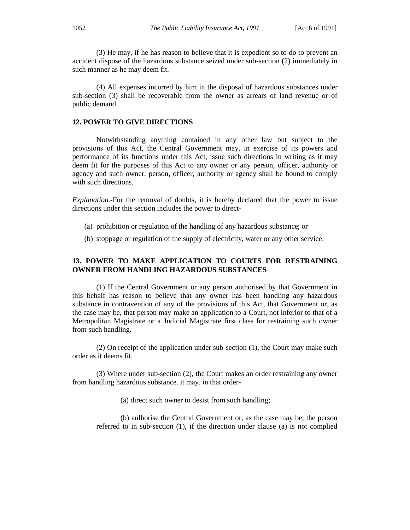(3) He may, if he has reason to believe that it is expedient so to do to prevent an accident dispose of the hazardous substance seized under sub-section (2) immediately in such manner as he may deem fit.

(4) All expenses incurred by him in the disposal of hazardous substances under sub-section (3) shall be recoverable from the owner as arrears of land revenue or of public demand.

## **12. POWER TO GIVE DIRECTIONS**

Notwithstanding anything contained in any other law but subject to the provisions of this Act, the Central Government may, in exercise of its powers and performance of its functions under this Act, issue such directions in writing as it may deem fit for the purposes of this Act to any owner or any person, officer, authority or agency and such owner, person, officer, authority or agency shall be bound to comply with such directions.

*Explanation.-*For the removal of doubts, it is hereby declared that the power to issue directions under this section includes the power to direct-

- (a) prohibition or regulation of the handling of any hazardous substance; or
- (b) stoppage or regulation of the supply of electricity, water or any other service.

# **13. POWER TO MAKE APPLICATION TO COURTS FOR RESTRAINING OWNER FROM HANDLING HAZARDOUS SUBSTANCES**

(1) If the Central Government or any person authorised by that Government in this behalf has reason to believe that any owner has been handling any hazardous substance in contravention of any of the provisions of this Act, that Government or, as the case may be, that person may make an application to a Court, not inferior to that of a Metropolitan Magistrate or a Judicial Magistrate first class for restraining such owner from such handling.

(2) On receipt of the application under sub-section (1), the Court may make such order as it deems fit.

(3) Where under sub-section (2), the Court makes an order restraining any owner from handling hazardous substance. it may. in that order-

(a) direct such owner to desist from such handling;

(b) aulhorise the Central Government or, as the case may be, the person referred to in sub-section (1), if the direction under clause (a) is not complied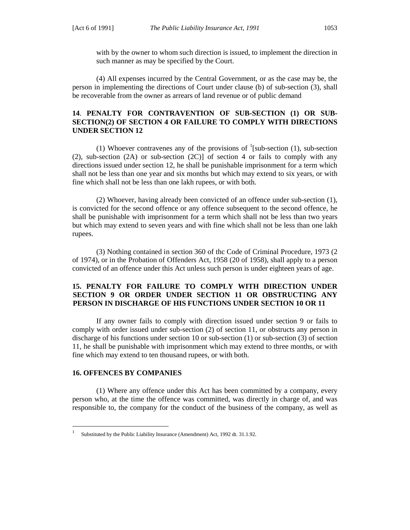with by the owner to whom such direction is issued, to implement the direction in such manner as may be specified by the Court.

(4) All expenses incurred by the Central Government, or as the case may be, the person in implementing the directions of Court under clause (b) of sub-section (3), shall be recoverable from the owner as arrears of land revenue or of public demand

# **14**. **PENALTY FOR CONTRAVENTION OF SUB-SECTION (1) OR SUB-SECTION(2) OF SECTION 4 OR FAILURE TO COMPLY WITH DIRECTIONS UNDER SECTION 12**

(1) Whoever contravenes any of the provisions of  $\frac{1}{s}$ [sub-section (1), sub-section (2), sub-section  $(2A)$  or sub-section  $(2C)$ ] of section 4 or fails to comply with any directions issued under section 12, he shall be punishable imprisonment for a term which shall not be less than one year and six months but which may extend to six years, or with fine which shall not be less than one lakh rupees, or with both.

(2) Whoever, having already been convicted of an offence under sub-section (1), is convicted for the second offence or any offence subsequent to the second offence, he shall be punishable with imprisonment for a term which shall not be less than two years but which may extend to seven years and with fine which shall not be less than one lakh rupees.

(3) Nothing contained in section 360 of thc Code of Criminal Procedure, 1973 (2 of 1974), or in the Probation of Offenders Act, 1958 (20 of 1958), shall apply to a person convicted of an offence under this Act unless such person is under eighteen years of age.

# **15. PENALTY FOR FAILURE TO COMPLY WITH DIRECTION UNDER SECTION 9 OR ORDER UNDER SECTION 11 OR OBSTRUCTING ANY PERSON IN DISCHARGE OF HIS FUNCTIONS UNDER SECTION 10 OR 11**

If any owner fails to comply with direction issued under section 9 or fails to comply with order issued under sub-section (2) of section 11, or obstructs any person in discharge of his functions under section 10 or sub-section (1) or sub-section (3) of section 11, he shall be punishable with imprisonment which may extend to three months, or with fine which may extend to ten thousand rupees, or with both.

#### **16. OFFENCES BY COMPANIES**

(1) Where any offence under this Act has been committed by a company, every person who, at the time the offence was committed, was directly in charge of, and was responsible to, the company for the conduct of the business of the company, as well as

 $\frac{1}{1}$ Substituted by the Public Liability Insurance (Amendment) Act, 1992 dt. 31.1.92.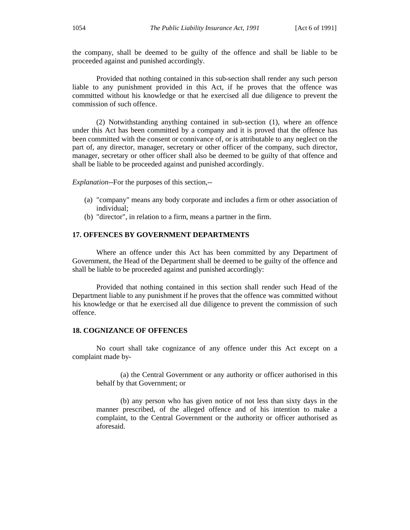the company, shall be deemed to be guilty of the offence and shall be liable to be proceeded against and punished accordingly.

Provided that nothing contained in this sub-section shall render any such person liable to any punishment provided in this Act, if he proves that the offence was committed without his knowledge or that he exercised all due diligence to prevent the commission of such offence.

(2) Notwithstanding anything contained in sub-section (1), where an offence under this Act has been committed by a company and it is proved that the offence has been committed with the consent or connivance of, or is attributable to any neglect on the part of, any director, manager, secretary or other officer of the company, such director, manager, secretary or other officer shall also be deemed to be guilty of that offence and shall be liable to be proceeded against and punished accordingly.

*Explanation--*For the purposes of this section,--

- (a) "company" means any body corporate and includes a firm or other association of individual;
- (b) "director", in relation to a firm, means a partner in the firm.

## **17. OFFENCES BY GOVERNMENT DEPARTMENTS**

Where an offence under this Act has been committed by any Department of Government, the Head of the Department shall be deemed to be guilty of the offence and shall be liable to be proceeded against and punished accordingly:

Provided that nothing contained in this section shall render such Head of the Department liable to any punishment if he proves that the offence was committed without his knowledge or that he exercised all due diligence to prevent the commission of such offence.

## **18. COGNIZANCE OF OFFENCES**

No court shall take cognizance of any offence under this Act except on a complaint made by-

(a) the Central Government or any authority or officer authorised in this behalf by that Government; or

(b) any person who has given notice of not less than sixty days in the manner prescribed, of the alleged offence and of his intention to make a complaint, to the Central Government or the authority or officer authorised as aforesaid.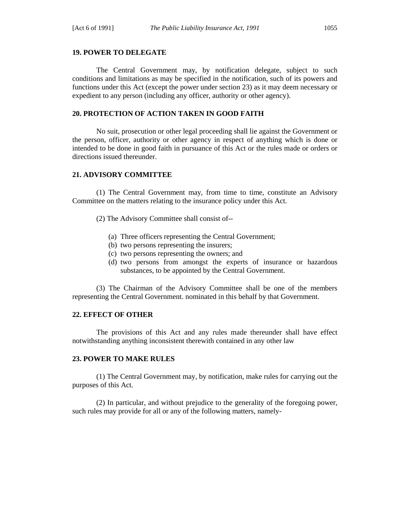## **19. POWER TO DELEGATE**

The Central Government may, by notification delegate, subject to such conditions and limitations as may be specified in the notification, such of its powers and functions under this Act (except the power under section 23) as it may deem necessary or expedient to any person (including any officer, authority or other agency).

#### **20. PROTECTION OF ACTION TAKEN IN GOOD FAITH**

No suit, prosecution or other legal proceeding shall lie against the Government or the person, officer, authority or other agency in respect of anything which is done or intended to be done in good faith in pursuance of this Act or the rules made or orders or directions issued thereunder.

#### **21. ADVISORY COMMITTEE**

(1) The Central Government may, from time to time, constitute an Advisory Committee on the matters relating to the insurance policy under this Act.

(2) The Advisory Committee shall consist of--

- (a) Three officers representing the Central Government;
- (b) two persons representing the insurers;
- (c) two persons representing the owners; and
- (d) two persons from amongst the experts of insurance or hazardous substances, to be appointed by the Central Government.

(3) The Chairman of the Advisory Committee shall be one of the members representing the Central Government. nominated in this behalf by that Government.

#### **22. EFFECT OF OTHER**

The provisions of this Act and any rules made thereunder shall have effect notwithstanding anything inconsistent therewith contained in any other law

#### **23. POWER TO MAKE RULES**

(1) The Central Government may, by notification, make rules for carrying out the purposes of this Act.

(2) In particular, and without prejudice to the generality of the foregoing power, such rules may provide for all or any of the following matters, namely-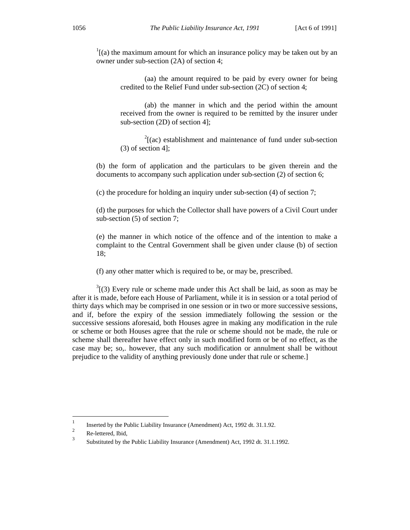$\frac{1}{1}$ [(a) the maximum amount for which an insurance policy may be taken out by an owner under sub-section (2A) of section 4;

(aa) the amount required to be paid by every owner for being credited to the Relief Fund under sub-section (2C) of section 4;

(ab) the manner in which and the period within the amount received from the owner is required to be remitted by the insurer under sub-section (2D) of section 4];

 $2^{2}$ [(ac) establishment and maintenance of fund under sub-section (3) of section 4];

(b) the form of application and the particulars to be given therein and the documents to accompany such application under sub-section (2) of section 6;

(c) the procedure for holding an inquiry under sub-section (4) of section 7;

(d) the purposes for which the Collector shall have powers of a Civil Court under sub-section (5) of section 7;

(e) the manner in which notice of the offence and of the intention to make a complaint to the Central Government shall be given under clause (b) of section 18;

(f) any other matter which is required to be, or may be, prescribed.

 $3(3)$  Every rule or scheme made under this Act shall be laid, as soon as may be after it is made, before each House of Parliament, while it is in session or a total period of thirty days which may be comprised in one session or in two or more successive sessions, and if, before the expiry of the session immediately following the session or the successive sessions aforesaid, both Houses agree in making any modification in the rule or scheme or both Houses agree that the rule or scheme should not be made, the rule or scheme shall thereafter have effect only in such modified form or be of no effect, as the case may be; so,. however, that any such modification or annulment shall be without prejudice to the validity of anything previously done under that rule or scheme.]

<sup>1</sup> Inserted by the Public Liability Insurance (Amendment) Act, 1992 dt. 31.1.92.<br>  $\frac{2}{\pi}$  Be lattered Thid

 $\frac{2}{3}$  Re-lettered, Ibid,

<sup>3</sup> Substituted by the Public Liability Insurance (Amendment) Act, 1992 dt. 31.1.1992.